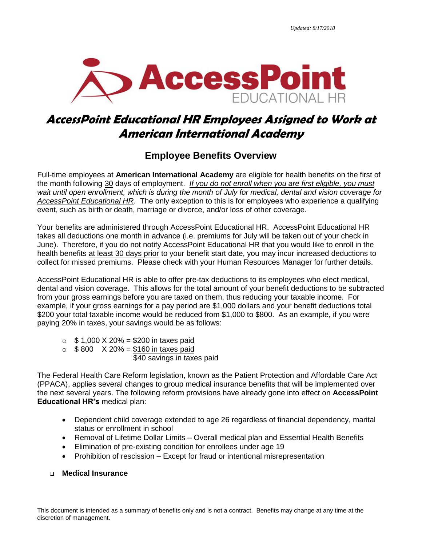

# **AccessPoint Educational HR Employees Assigned to Work at American International Academy**

# **Employee Benefits Overview**

Full-time employees at **American International Academy** are eligible for health benefits on the first of the month following 30 days of employment. *If you do not enroll when you are first eligible, you must wait until open enrollment, which is during the month of July for medical, dental and vision coverage for AccessPoint Educational HR*. The only exception to this is for employees who experience a qualifying event, such as birth or death, marriage or divorce, and/or loss of other coverage.

Your benefits are administered through AccessPoint Educational HR. AccessPoint Educational HR takes all deductions one month in advance (i.e. premiums for July will be taken out of your check in June). Therefore, if you do not notify AccessPoint Educational HR that you would like to enroll in the health benefits at least 30 days prior to your benefit start date, you may incur increased deductions to collect for missed premiums. Please check with your Human Resources Manager for further details.

AccessPoint Educational HR is able to offer pre-tax deductions to its employees who elect medical, dental and vision coverage. This allows for the total amount of your benefit deductions to be subtracted from your gross earnings before you are taxed on them, thus reducing your taxable income. For example, if your gross earnings for a pay period are \$1,000 dollars and your benefit deductions total \$200 your total taxable income would be reduced from \$1,000 to \$800. As an example, if you were paying 20% in taxes, your savings would be as follows:

- $\circ$  \$ 1,000 X 20% = \$200 in taxes paid
- $\circ$  \$800 X 20% = \$160 in taxes paid

\$40 savings in taxes paid

The Federal Health Care Reform legislation, known as the Patient Protection and Affordable Care Act (PPACA), applies several changes to group medical insurance benefits that will be implemented over the next several years. The following reform provisions have already gone into effect on **AccessPoint Educational HR's** medical plan:

- Dependent child coverage extended to age 26 regardless of financial dependency, marital status or enrollment in school
- Removal of Lifetime Dollar Limits Overall medical plan and Essential Health Benefits
- Elimination of pre-existing condition for enrollees under age 19
- Prohibition of rescission Except for fraud or intentional misrepresentation

# **Medical Insurance**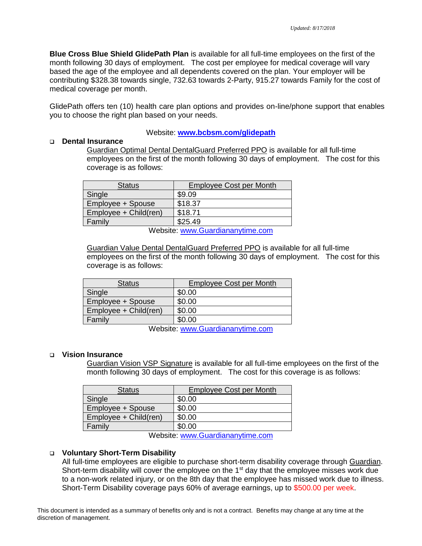**Blue Cross Blue Shield GlidePath Plan** is available for all full-time employees on the first of the month following 30 days of employment. The cost per employee for medical coverage will vary based the age of the employee and all dependents covered on the plan. Your employer will be contributing \$328.38 towards single, 732.63 towards 2-Party, 915.27 towards Family for the cost of medical coverage per month.

GlidePath offers ten (10) health care plan options and provides on-line/phone support that enables you to choose the right plan based on your needs.

Website: **[www.bcbsm.com/glidepath](http://www.bcbsm.com/glidepath)**

#### **Dental Insurance**

Guardian Optimal Dental DentalGuard Preferred PPO is available for all full-time employees on the first of the month following 30 days of employment. The cost for this coverage is as follows:

| <b>Status</b>                   | <b>Employee Cost per Month</b> |
|---------------------------------|--------------------------------|
| Single                          | \$9.09                         |
| Employee + Spouse               | \$18.37                        |
| Employee + Child(ren)           | \$18.71                        |
| Family                          | \$25.49                        |
| Maheita www.Guardiananytima.com |                                |

Website: [www.Guardiananytime.com](http://www.guardiananytime.com/)

Guardian Value Dental DentalGuard Preferred PPO is available for all full-time employees on the first of the month following 30 days of employment. The cost for this coverage is as follows:

| <b>Status</b>         | <b>Employee Cost per Month</b> |  |
|-----------------------|--------------------------------|--|
| Single                | \$0.00                         |  |
| Employee + Spouse     | \$0.00                         |  |
| Employee + Child(ren) | \$0.00                         |  |
| Family                | \$0.00                         |  |
|                       |                                |  |

Website: [www.Guardiananytime.com](http://www.guardiananytime.com/)

#### **Vision Insurance**

Guardian Vision VSP Signature is available for all full-time employees on the first of the month following 30 days of employment. The cost for this coverage is as follows:

| <b>Status</b>                                                                                                    | <b>Employee Cost per Month</b> |  |
|------------------------------------------------------------------------------------------------------------------|--------------------------------|--|
| Single                                                                                                           | \$0.00                         |  |
| Employee + Spouse                                                                                                | \$0.00                         |  |
| Employee + Child(ren)                                                                                            | \$0.00                         |  |
| Family                                                                                                           | \$0.00                         |  |
| $M_{\rm H}$ , the state of the second $\bigcap_{n=1}^{\infty}$ , the set of the second line of the second second |                                |  |

Website: [www.Guardiananytime.com](http://www.guardiananytime.com/)

#### **Voluntary Short-Term Disability**

All full-time employees are eligible to purchase short-term disability coverage through Guardian. Short-term disability will cover the employee on the 1<sup>st</sup> day that the employee misses work due to a non-work related injury, or on the 8th day that the employee has missed work due to illness. Short-Term Disability coverage pays 60% of average earnings, up to \$500.00 per week.

This document is intended as a summary of benefits only and is not a contract. Benefits may change at any time at the discretion of management.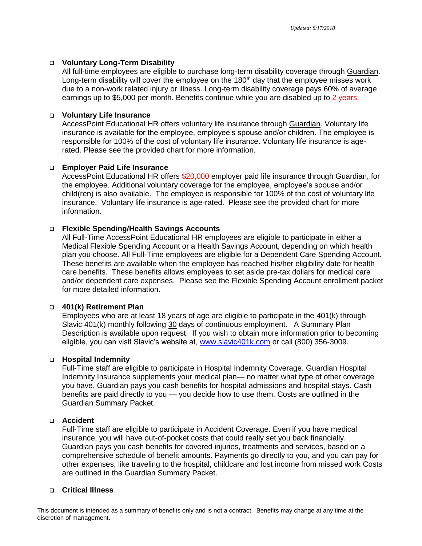# **Voluntary Long-Term Disability**

All full-time employees are eligible to purchase long-term disability coverage through Guardian. Long-term disability will cover the employee on the  $180<sup>th</sup>$  day that the employee misses work due to a non-work related injury or illness. Long-term disability coverage pays 60% of average earnings up to \$5,000 per month. Benefits continue while you are disabled up to 2 years.

# **Voluntary Life Insurance**

AccessPoint Educational HR offers voluntary life insurance through Guardian. Voluntary life insurance is available for the employee, employee's spouse and/or children. The employee is responsible for 100% of the cost of voluntary life insurance. Voluntary life insurance is agerated. Please see the provided chart for more information.

# **Employer Paid Life Insurance**

AccessPoint Educational HR offers \$20,000 employer paid life insurance through Guardian, for the employee. Additional voluntary coverage for the employee, employee's spouse and/or child(ren) is also available. The employee is responsible for 100% of the cost of voluntary life insurance. Voluntary life insurance is age-rated. Please see the provided chart for more information.

# **Flexible Spending/Health Savings Accounts**

All Full-Time AccessPoint Educational HR employees are eligible to participate in either a Medical Flexible Spending Account or a Health Savings Account, depending on which health plan you choose. All Full-Time employees are eligible for a Dependent Care Spending Account. These benefits are available when the employee has reached his/her eligibility date for health care benefits. These benefits allows employees to set aside pre-tax dollars for medical care and/or dependent care expenses. Please see the Flexible Spending Account enrollment packet for more detailed information.

#### **401(k) Retirement Plan**

Employees who are at least 18 years of age are eligible to participate in the 401(k) through Slavic 401(k) monthly following 30 days of continuous employment. A Summary Plan Description is available upon request. If you wish to obtain more information prior to becoming eligible, you can visit Slavic's website at, [www.slavic401k.com](http://www.slavic401k.com/) or call (800) 356-3009.

#### **Hospital Indemnity**

Full-Time staff are eligible to participate in Hospital Indemnity Coverage. Guardian Hospital Indemnity Insurance supplements your medical plan— no matter what type of other coverage you have. Guardian pays you cash benefits for hospital admissions and hospital stays. Cash benefits are paid directly to you — you decide how to use them. Costs are outlined in the Guardian Summary Packet.

# **Accident**

Full-Time staff are eligible to participate in Accident Coverage. Even if you have medical insurance, you will have out-of-pocket costs that could really set you back financially. Guardian pays you cash benefits for covered injuries, treatments and services, based on a comprehensive schedule of benefit amounts. Payments go directly to you, and you can pay for other expenses, like traveling to the hospital, childcare and lost income from missed work Costs are outlined in the Guardian Summary Packet.

# **Critical Illness**

This document is intended as a summary of benefits only and is not a contract. Benefits may change at any time at the discretion of management.